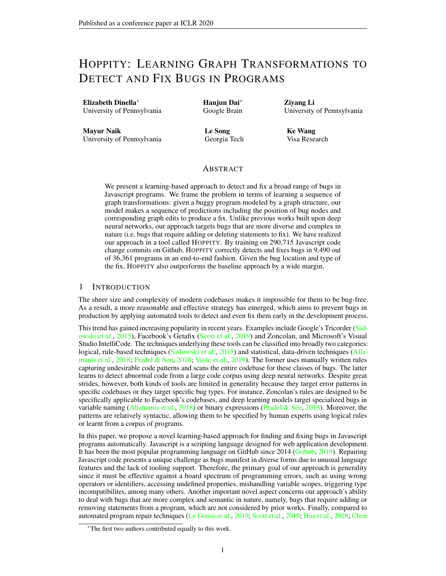# HOPPITY: LEARNING GRAPH TRANSFORMATIONS TO DETECT AND FIX BUGS IN PROGRAMS

Elizabeth Dinella<sup>∗</sup> University of Pennsylvania Hanjun Dai<sup>∗</sup> Google Brain Ziyang Li University of Pennsylvania

Mayur Naik University of Pennsylvania Le Song Georgia Tech Ke Wang Visa Research

### ABSTRACT

We present a learning-based approach to detect and fix a broad range of bugs in Javascript programs. We frame the problem in terms of learning a sequence of graph transformations: given a buggy program modeled by a graph structure, our model makes a sequence of predictions including the position of bug nodes and corresponding graph edits to produce a fix. Unlike previous works built upon deep neural networks, our approach targets bugs that are more diverse and complex in nature (i.e. bugs that require adding or deleting statements to fix). We have realized our approach in a tool called HOPPITY. By training on 290,715 Javascript code change commits on Github, HOPPITY correctly detects and fixes bugs in 9,490 out of 36,361 programs in an end-to-end fashion. Given the bug location and type of the fix, HOPPITY also outperforms the baseline approach by a wide margin.

#### 1 INTRODUCTION

The sheer size and complexity of modern codebases makes it impossible for them to be bug-free. As a result, a more reasonable and effective strategy has emerged, which aims to prevent bugs in production by applying automated tools to detect and even fix them early in the development process.

This trend has gained increasing popularity in recent years. Examples include Google's Tricorder [\(Sad](#page-10-0)[owski et al.,](#page-10-0) [2015\)](#page-10-0), Facebook's Getafix [\(Scott et al.,](#page-10-1) [2019\)](#page-10-1) and Zoncolan, and Microsoft's Visual Studio IntelliCode. The techniques underlying these tools can be classified into broadly two categories: logical, rule-based techniques [\(Sadowski et al.,](#page-10-0) [2015\)](#page-10-0) and statistical, data-driven techniques [\(Alla](#page-9-0)[manis et al.,](#page-9-0) [2018;](#page-9-0) [Pradel & Sen,](#page-9-1) [2018;](#page-9-1) [Vasic et al.,](#page-10-2) [2019\)](#page-10-2). The former uses manually written rules capturing undesirable code patterns and scans the entire codebase for these classes of bugs. The latter learns to detect abnormal code from a large code corpus using deep neural networks. Despite great strides, however, both kinds of tools are limited in generality because they target error patterns in specific codebases or they target specific bug types. For instance, Zoncolan's rules are designed to be specifically applicable to Facebook's codebases, and deep learning models target specialized bugs in variable naming [\(Allamanis et al.,](#page-9-0) [2018\)](#page-9-1) or binary expressions [\(Pradel & Sen,](#page-9-1) 2018). Moreover, the patterns are relatively syntactic, allowing them to be specified by human experts using logical rules or learnt from a corpus of programs.

In this paper, we propose a novel learning-based approach for finding and fixing bugs in Javascript programs automatically. Javascript is a scripting language designed for web application development. It has been the most popular programming language on GitHub since 2014 [\(Github,](#page-9-2) [2019\)](#page-9-2). Repairing Javascript code presents a unique challenge as bugs manifest in diverse forms due to unusual language features and the lack of tooling support. Therefore, the primary goal of our approach is generality since it must be effective against a board spectrum of programming errors, such as using wrong operators or identifiers, accessing undefined properties, mishandling variable scopes, triggering type incompatibilites, among many others. Another important novel aspect concerns our approach's ability to deal with bugs that are more complex and semantic in nature, namely, bugs that require adding or removing statements from a program, which are not considered by prior works. Finally, compared to automated program repair techniques [\(Le Goues et al.,](#page-9-3) [2019;](#page-9-3) [Scott et al.,](#page-10-1) [2019;](#page-10-1) [Hua et al.,](#page-9-4) [2018;](#page-9-4) [Chen](#page-9-5)

<sup>∗</sup>[The first two authors contributed equally to this work.](#page-9-5)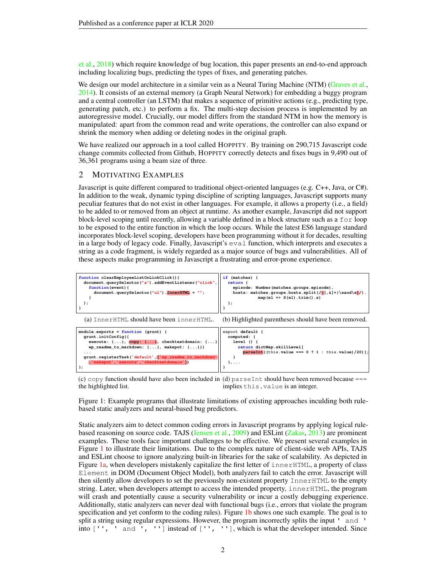[et al.,](#page-9-5) [2018\)](#page-9-5) which require knowledge of bug location, this paper presents an end-to-end approach including localizing bugs, predicting the types of fixes, and generating patches.

We design our model architecture in a similar vein as a Neural Turing Machine (NTM) [\(Graves et al.,](#page-9-6) [2014\)](#page-9-6). It consists of an external memory (a Graph Neural Network) for embedding a buggy program and a central controller (an LSTM) that makes a sequence of primitive actions (e.g., predicting type, generating patch, etc.) to perform a fix. The multi-step decision process is implemented by an autoregressive model. Crucially, our model differs from the standard NTM in how the memory is manipulated: apart from the common read and write operations, the controller can also expand or shrink the memory when adding or deleting nodes in the original graph.

We have realized our approach in a tool called HOPPITY. By training on 290,715 Javascript code change commits collected from Github, HOPPITY correctly detects and fixes bugs in 9,490 out of 36,361 programs using a beam size of three.

### 2 MOTIVATING EXAMPLES

Javascript is quite different compared to traditional object-oriented languages (e.g. C++, Java, or C#). In addition to the weak, dynamic typing discipline of scripting languages, Javascript supports many peculiar features that do not exist in other languages. For example, it allows a property (i.e., a field) to be added to or removed from an object at runtime. As another example, Javascript did not support block-level scoping until recently, allowing a variable defined in a block structure such as a for loop to be exposed to the entire function in which the loop occurs. While the latest ES6 language standard incorporates block-level scoping, developers have been programming without it for decades, resulting in a large body of legacy code. Finally, Javascript's eval function, which interprets and executes a string as a code fragment, is widely regarded as a major source of bugs and vulnerabilities. All of these aspects make programming in Javascript a frustrating and error-prone experience.

<span id="page-1-0"></span>

(c) copy function should have also been included in (d) parseInt should have been removed because === the highlighted list. implies this.value is an integer.

Figure 1: Example programs that illustrate limitations of existing approaches inculding both rulebased static analyzers and neural-based bug predictors.

Static analyzers aim to detect common coding errors in Javascript programs by applying logical rulebased reasoning on source code. TAJS [\(Jensen et al.,](#page-9-7) [2009\)](#page-9-7) and ESLint [\(Zakas,](#page-10-3) [2013\)](#page-10-3) are prominent examples. These tools face important challenges to be effective. We present several examples in Figure [1](#page-1-0) to illustrate their limitations. Due to the complex nature of client-side web APIs, TAJS and ESLint choose to ignore analyzing built-in libraries for the sake of scalability. As depicted in Figure [1a,](#page-1-0) when developers mistakenly capitalize the first letter of innerHTML, a property of class Element in DOM (Document Object Model), both analyzers fail to catch the error. Javascript will then silently allow developers to set the previously non-existent property InnerHTML to the empty string. Later, when developers attempt to access the intended property, innerHTML, the program will crash and potentially cause a security vulnerability or incur a costly debugging experience. Additionally, static analyzers can never deal with functional bugs (i.e., errors that violate the program specification and yet conform to the coding rules). Figure [1b](#page-1-0) shows one such example. The goal is to split a string using regular expressions. However, the program incorrectly splits the input ' and ' into ['', ' and ', ''] instead of ['', ''], which is what the developer intended. Since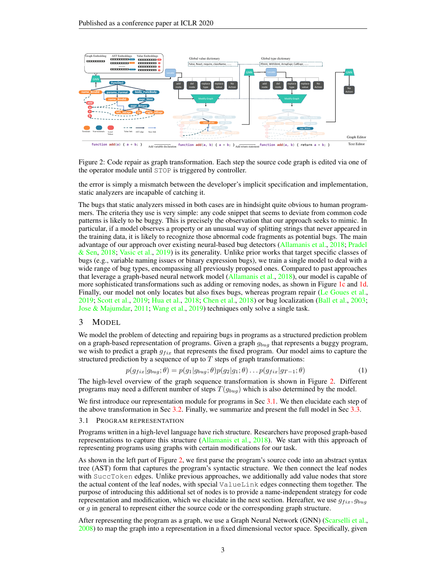<span id="page-2-0"></span>

Figure 2: Code repair as graph transformation. Each step the source code graph is edited via one of the operator module until STOP is triggered by controller.

the error is simply a mismatch between the developer's implicit specification and implementation, static analyzers are incapable of catching it.

The bugs that static analyzers missed in both cases are in hindsight quite obvious to human programmers. The criteria they use is very simple: any code snippet that seems to deviate from common code patterns is likely to be buggy. This is precisely the observation that our approach seeks to mimic. In particular, if a model observes a property or an unusual way of splitting strings that never appeared in the training data, it is likely to recognize those abnormal code fragments as potential bugs. The main advantage of our approach over existing neural-based bug detectors [\(Allamanis et al.,](#page-9-0) [2018;](#page-9-0) [Pradel](#page-9-1) [& Sen,](#page-9-1) [2018;](#page-9-1) [Vasic et al.,](#page-10-2) [2019\)](#page-10-2) is its generality. Unlike prior works that target specific classes of bugs (e.g., variable naming issues or binary expression bugs), we train a single model to deal with a wide range of bug types, encompassing all previously proposed ones. Compared to past approaches that leverage a graph-based neural network model [\(Allamanis et al.,](#page-9-0) [2018\)](#page-9-0), our model is capable of more sophisticated transformations such as adding or removing nodes, as shown in Figure [1c](#page-1-0) and [1d.](#page-1-0) Finally, our model not only locates but also fixes bugs, whereas program repair [\(Le Goues et al.,](#page-9-3) [2019;](#page-9-3) [Scott et al.,](#page-10-1) [2019;](#page-10-1) [Hua et al.,](#page-9-4) [2018;](#page-9-4) [Chen et al.,](#page-9-5) [2018\)](#page-9-5) or bug localization [\(Ball et al.,](#page-9-8) [2003;](#page-9-8) [Jose & Majumdar,](#page-9-9) [2011;](#page-9-9) [Wang et al.,](#page-10-4) [2019\)](#page-10-4) techniques only solve a single task.

#### 3 MODEL

We model the problem of detecting and repairing bugs in programs as a structured prediction problem on a graph-based representation of programs. Given a graph  $g_{buq}$  that represents a buggy program, we wish to predict a graph  $g_{fix}$  that represents the fixed program. Our model aims to capture the structured prediction by a sequence of up to  $T$  steps of graph transformations:

<span id="page-2-2"></span>
$$
p(g_{fix}|g_{bug};\theta) = p(g_1|g_{bug};\theta)p(g_2|g_1;\theta)\dots p(g_{fix}|g_{T-1};\theta)
$$
\n(1)

The high-level overview of the graph sequence transformation is shown in Figure [2.](#page-2-0) Different programs may need a different number of steps  $T(g_{buq})$  which is also determined by the model.

We first introduce our representation module for programs in Sec [3.1.](#page-2-1) We then elucidate each step of the above transformation in Sec [3.2.](#page-3-0) Finally, we summarize and present the full model in Sec [3.3.](#page-4-0)

#### <span id="page-2-1"></span>3.1 PROGRAM REPRESENTATION

Programs written in a high-level language have rich structure. Researchers have proposed graph-based representations to capture this structure [\(Allamanis et al.,](#page-9-0) [2018\)](#page-9-0). We start with this approach of representing programs using graphs with certain modifications for our task.

As shown in the left part of Figure [2,](#page-2-0) we first parse the program's source code into an abstract syntax tree (AST) form that captures the program's syntactic structure. We then connect the leaf nodes with SuccToken edges. Unlike previous approaches, we additionally add value nodes that store the actual content of the leaf nodes, with special ValueLink edges connecting them together. The purpose of introducing this additional set of nodes is to provide a name-independent strategy for code representation and modification, which we elucidate in the next section. Hereafter, we use  $g_{fix}, g_{buq}$ or g in general to represent either the source code or the corresponding graph structure.

After representing the program as a graph, we use a Graph Neural Network (GNN) [\(Scarselli et al.,](#page-10-5) [2008\)](#page-10-5) to map the graph into a representation in a fixed dimensional vector space. Specifically, given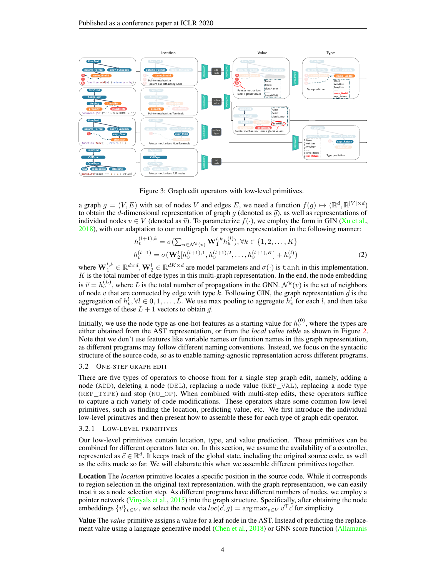<span id="page-3-1"></span>

Figure 3: Graph edit operators with low-level primitives.

a graph  $g = (V, E)$  with set of nodes V and edges E, we need a function  $f(g) \mapsto (\mathbb{R}^d, \mathbb{R}^{|V| \times d})$ to obtain the d-dimensional representation of graph q (denoted as  $\vec{q}$ ), as well as representations of individual nodes  $v \in V$  (denoted as  $\vec{v}$ ). To parameterize  $f(\cdot)$ , we employ the form in GIN [\(Xu et al.,](#page-10-6) [2018\)](#page-10-6), with our adaptation to our multigraph for program representation in the following manner:

<span id="page-3-2"></span>
$$
h_v^{(l+1),k} = \sigma(\sum_{u \in \mathcal{N}^k(v)} \mathbf{W}_1^{l,k} h_u^{(l)}), \forall k \in \{1, 2, ..., K\}
$$
  

$$
h_v^{(l+1)} = \sigma(\mathbf{W}_2^l[h_v^{(l+1),1}, h_v^{(l+1),2}, ..., h_v^{(l+1),K}] + h_v^{(l)})
$$
 (2)

where  $\mathbf{W}_1^{l,k} \in \mathbb{R}^{d \times d}$ ,  $\mathbf{W}_2^l \in \mathbb{R}^{dK \times d}$  are model parameters and  $\sigma(\cdot)$  is tanh in this implementation.  $K$  is the total number of edge types in this multi-graph representation. In the end, the node embedding is  $\vec{v} = h_v^{(L)}$ , where L is the total number of propagations in the GNN.  $\mathcal{N}^k(v)$  is the set of neighbors of node v that are connected by edge with type k. Following GIN, the graph representation  $\vec{g}$  is the aggregation of  $h_v^l, \forall l \in 0, 1, \ldots, L$ . We use max pooling to aggregate  $h_v^l$  for each l, and then take the average of these  $L + 1$  vectors to obtain  $\vec{q}$ .

Initially, we use the node type as one-hot features as a starting value for  $h_v^{(0)}$ , where the types are either obtained from the AST representation, or from the *local value table* as shown in Figure [2.](#page-2-0) Note that we don't use features like variable names or function names in this graph representation, as different programs may follow different naming conventions. Instead, we focus on the syntactic structure of the source code, so as to enable naming-agnostic representation across different programs.

#### <span id="page-3-0"></span>3.2 ONE-STEP GRAPH EDIT

There are five types of operators to choose from for a single step graph edit, namely, adding a node (ADD), deleting a node (DEL), replacing a node value (REP\_VAL), replacing a node type (REP\_TYPE) and stop (NO\_OP). When combined with multi-step edits, these operators suffice to capture a rich variety of code modifications. These operators share some common low-level primitives, such as finding the location, predicting value, etc. We first introduce the individual low-level primitives and then present how to assemble these for each type of graph edit operator.

#### 3.2.1 LOW-LEVEL PRIMITIVES

Our low-level primitives contain location, type, and value prediction. These primitives can be combined for different operators later on. In this section, we assume the availability of a controller, represented as  $\vec{c} \in \mathbb{R}^d$ . It keeps track of the global state, including the original source code, as well as the edits made so far. We will elaborate this when we assemble different primitives together.

Location The *location* primitive locates a specific position in the source code. While it corresponds to region selection in the original text representation, with the graph representation, we can easily treat it as a node selection step. As different programs have different numbers of nodes, we employ a pointer network [\(Vinyals et al.,](#page-10-7) [2015\)](#page-10-7) into the graph structure. Specifically, after obtaining the node embeddings  ${\{\vec{v}\}}_{v\in V}$ , we select the node via  $loc(\vec{c}, g) = \arg \max_{v\in V} \vec{v}^\top \vec{c}$  for simplicity.

Value The *value* primitive assigns a value for a leaf node in the AST. Instead of predicting the replace-ment value using a language generative model [\(Chen et al.,](#page-9-5) [2018\)](#page-9-5) or GNN score function [\(Allamanis](#page-9-0)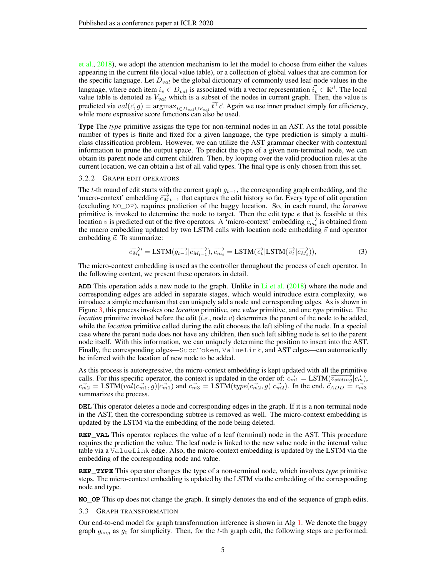[et al.,](#page-9-0) [2018\)](#page-9-0), we adopt the attention mechanism to let the model to choose from either the values appearing in the current file (local value table), or a collection of global values that are common for the specific language. Let  $D_{val}$  be the global dictionary of commonly used leaf-node values in the language, where each item  $i_v \in D_{val}$  is associated with a vector representation  $\vec{i_v} \in \mathbb{R}^d$ . The local value table is denoted as  $V_{val}$  which is a subset of the nodes in current graph. Then, the value is predicted via  $val(\vec{c}, g) = \text{argmax}_{t \in D_{val} \cup V_{val}} \vec{t}^\top \vec{c}$ . Again we use inner product simply for efficiency, while more expressive score functions can also be used.

Type The *type* primitive assigns the type for non-terminal nodes in an AST. As the total possible number of types is finite and fixed for a given language, the type prediction is simply a multiclass classification problem. However, we can utilize the AST grammar checker with contextual information to prune the output space. To predict the type of a given non-terminal node, we can obtain its parent node and current children. Then, by looping over the valid production rules at the current location, we can obtain a list of all valid types. The final type is only chosen from this set.

#### 3.2.2 GRAPH EDIT OPERATORS

The t-th round of edit starts with the current graph  $g_{t-1}$ , the corresponding graph embedding, and the 'macro-context' embedding  $\overline{c_{M}}_{t-1}$  that captures the edit history so far. Every type of edit operation (excluding NO\_OP), requires prediction of the buggy location. So, in each round, the *location* primitive is invoked to determine the node to target. Then the edit type  $e$  that is feasible at this location v is predicted out of the five operators. A 'micro-context' embedding  $\overrightarrow{c_{m_t}}$  is obtained from the macro embedding updated by two LSTM calls with location node embedding  $\vec{v}$  and operator embedding  $\vec{e}$ . To summarize:

<span id="page-4-1"></span>
$$
\overrightarrow{c_{M_t}}' = \text{LSTM}(\overrightarrow{g_{t-1}} | \overrightarrow{c_{M_{t-1}}}), \overrightarrow{c_{m_t}} = \text{LSTM}(\overrightarrow{e_t} | \text{LSTM}(\overrightarrow{v_t} | \overrightarrow{c_{M_t}})), \tag{3}
$$

The micro-context embedding is used as the controller throughout the process of each operator. In the following content, we present these operators in detail.

**ADD** This operation adds a new node to the graph. Unlike in [Li et al.](#page-9-10) [\(2018\)](#page-9-10) where the node and corresponding edges are added in separate stages, which would introduce extra complexity, we introduce a simple mechanism that can uniquely add a node and corresponding edges. As is shown in Figure [3,](#page-3-1) this process invokes one *location* primitive, one *value* primitive, and one *type* primitive. The *location* primitive invoked before the edit (*i.e.*, node v) determines the parent of the node to be added, while the *location* primitive called during the edit chooses the left sibling of the node. In a special case where the parent node does not have any children, then such left sibling node is set to the parent node itself. With this information, we can uniquely determine the position to insert into the AST. Finally, the corresponding edges—SuccToken, ValueLink, and AST edges—can automatically be inferred with the location of new node to be added.

As this process is autoregressive, the micro-context embedding is kept updated with all the primitive calls. For this specific operator, the context is updated in the order of:  $c_{m1}^{-1} = \text{LSTM}(v_{sibling} | c_m^{-1})$ ,  $\vec{c_{m2}} = \text{LSTM}(\vec{val}(\vec{c_{m1}}, g) | \vec{c_{m1}})$  and  $\vec{c_{m3}} = \text{LSTM}(type(\vec{c_{m2}}, g) | \vec{c_{m2}})$ . In the end,  $\vec{c_{ADD}} = \vec{c_{m3}}$ summarizes the process.

**DEL** This operator deletes a node and corresponding edges in the graph. If it is a non-terminal node in the AST, then the corresponding subtree is removed as well. The micro-context embedding is updated by the LSTM via the embedding of the node being deleted.

**REP\_VAL** This operator replaces the value of a leaf (terminal) node in the AST. This procedure requires the prediction the value. The leaf node is linked to the new value node in the internal value table via a ValueLink edge. Also, the micro-context embedding is updated by the LSTM via the embedding of the corresponding node and value.

**REP\_TYPE** This operator changes the type of a non-terminal node, which involves *type* primitive steps. The micro-context embedding is updated by the LSTM via the embedding of the corresponding node and type.

<span id="page-4-0"></span>**NO\_OP** This op does not change the graph. It simply denotes the end of the sequence of graph edits.

3.3 GRAPH TRANSFORMATION

Our end-to-end model for graph transformation inference is shown in Alg  $1$ . We denote the buggy graph  $g_{buq}$  as  $g_0$  for simplicity. Then, for the t-th graph edit, the following steps are performed: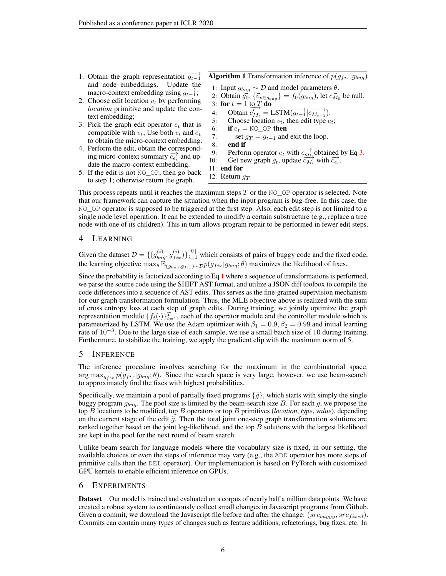- 1. Obtain the graph representation  $\overrightarrow{g_{t-1}}$ and node embeddings. Update the macro-context embedding using  $\overrightarrow{g_{t-1}}$ ;
- 2. Choose edit location  $v_t$  by performing *location* primitive and update the context embedding;
- 3. Pick the graph edit operator  $e_t$  that is compatible with  $v_t$ ; Use both  $v_t$  and  $e_t$ to obtain the micro-context embedding.
- 4. Perform the edit, obtain the corresponding micro-context summary  $\overrightarrow{c_{e}}$  and update the macro-context embedding.
- 5. If the edit is not NO\_OP, then go back to step 1; otherwise return the graph.

<span id="page-5-0"></span>**Algorithm 1** Transformation inference of  $p(g_{fix}|g_{bug})$ 

1: Input  $g_{bug}$  ∼ D and model parameters  $θ$ .

2: Obtain  $\vec{g_0}$ ,  $\{\vec{v}_v \in g_{bug}\} = f_0(g_{bug})$ , let  $c_{M_0}^{\rightarrow}$  be null. 3: for  $t = 1$  to  $\overline{T}$  do 4: Obtain  $\overrightarrow{c'_{M_t}} = \text{LSTM}(\overrightarrow{g_{t-1}} | \overrightarrow{c_{M_{t-1}}}).$ 5: Choose location  $v_t$ , then edit type  $e_t$ ;

- 
- 6: **if**  $e_t = \text{NO}\_\text{OP}$  then<br>7: **set**  $q_T = q_{t-1}$  and 7: set  $g_T = g_{t-1}$  and exit the loop.<br>8: **end if** 
	- 8: end if
- 9: Perform operator  $e_t$  with  $\overrightarrow{c_{m_t}}$  obtained by Eq [3.](#page-4-1)<br>10: Get new graph  $g_t$ , update  $\overrightarrow{c_{M_t}}$  with  $\overrightarrow{c_{e_t}}$ .
	-
- 11: end for 12: Return  $g_T$
- 

This process repeats until it reaches the maximum steps  $T$  or the NO\_OP operator is selected. Note that our framework can capture the situation when the input program is bug-free. In this case, the NO\_OP operator is supposed to be triggered at the first step. Also, each edit step is not limited to a single node level operation. It can be extended to modify a certain substructure (e.g., replace a tree node with one of its children). This in turn allows program repair to be performed in fewer edit steps.

### 4 LEARNING

Given the dataset  $\mathcal{D} = \{(g_{bug}^{(i)}, g_{fix}^{(i)})\}_{i=1}^{|\mathcal{D}|}$  which consists of pairs of buggy code and the fixed code, the learning objective  $\max_{\theta} \mathbb{E}_{(g_{bug},g_{fix}) \sim \mathcal{D}} p(g_{fix}|g_{bug}; \theta)$  maximizes the likelihood of fixes.

Since the probability is factorized according to Eq [1](#page-2-2) where a sequence of transformations is performed, we parse the source code using the SHIFT AST format, and utilize a JSON diff toolbox to compile the code differences into a sequence of AST edits. This serves as the fine-grained supervision mechanism for our graph transformation formulation. Thus, the MLE objective above is realized with the sum of cross entropy loss at each step of graph edits. During training, we jointly optimize the graph representation module  $\{f_t(\cdot)\}_{t=1}^T$ , each of the operator module and the controller module which is parameterized by LSTM. We use the Adam optimizer with  $\beta_1 = 0.9$ ,  $\beta_2 = 0.99$  and initial learning rate of 10<sup>−</sup><sup>3</sup> . Due to the large size of each sample, we use a small batch size of 10 during training. Furthermore, to stabilize the training, we apply the gradient clip with the maximum norm of 5.

### 5 INFERENCE

The inference procedure involves searching for the maximum in the combinatorial space:  $\arg \max_{g_{fix}} p(g_{fix}|g_{bug}; \theta)$ . Since the search space is very large, however, we use beam-search to approximately find the fixes with highest probabilities.

Specifically, we maintain a pool of partially fixed programs  $\{\tilde{g}\}$ , which starts with simply the single buggy program  $g_{bug}$ . The pool size is limited by the beam-search size B. For each  $\tilde{g}$ , we propose the top B locations to be modified, top B operators or top B primitives (*location*, *type*, *value*), depending on the current stage of the edit  $\tilde{g}$ . Then the total joint one-step graph transformation solutions are ranked together based on the joint log-likelihood, and the top  $B$  solutions with the largest likelihood are kept in the pool for the next round of beam search.

Unlike beam search for language models where the vocabulary size is fixed, in our setting, the available choices or even the steps of inference may vary (e.g., the ADD operator has more steps of primitive calls than the DEL operator). Our implementation is based on PyTorch with customized GPU kernels to enable efficient inference on GPUs.

### 6 EXPERIMENTS

Dataset Our model is trained and evaluated on a corpus of nearly half a million data points. We have created a robust system to continuously collect small changes in Javascript programs from Github. Given a commit, we download the Javascript file before and after the change:  $(src_{buggy}, src_{fixed})$ . Commits can contain many types of changes such as feature additions, refactorings, bug fixes, etc. In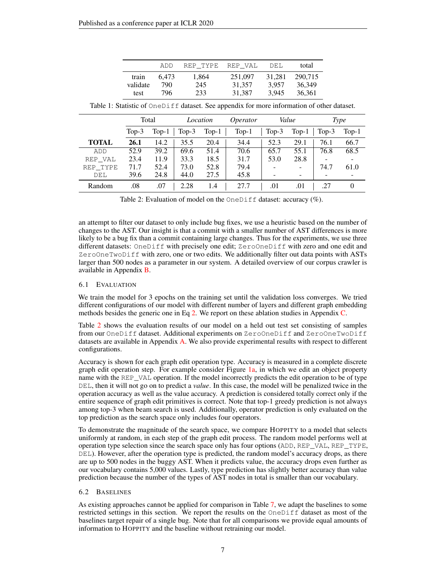|          | ADD   | REP TYPE | REP VAL | DEL    | total   |
|----------|-------|----------|---------|--------|---------|
| train    | 6.473 | 1,864    | 251,097 | 31.281 | 290.715 |
| validate | 790   | 245      | 31,357  | 3.957  | 36.349  |
| test     | 796   | 233      | 31,387  | 3.945  | 36,361  |

<span id="page-6-0"></span>

|              |          | Total   |         | Location | <i>Operator</i> |          | Value                        | <b>Type</b> |         |  |
|--------------|----------|---------|---------|----------|-----------------|----------|------------------------------|-------------|---------|--|
|              | Top- $3$ | $Top-1$ | $Top-3$ | $Top-1$  | $Top-1$         | Top- $3$ | $Top-1$                      | Top- $3$    | $Top-1$ |  |
| <b>TOTAL</b> | 26.1     | 14.2    | 35.5    | 20.4     | 34.4            | 52.3     | 29.1                         | 76.1        | 66.7    |  |
| ADD          | 52.9     | 39.2    | 69.6    | 51.4     | 70.6            | 65.7     | 55.1                         | 76.8        | 68.5    |  |
| REP VAL      | 23.4     | 11.9    | 33.3    | 18.5     | 31.7            | 53.0     | 28.8                         |             |         |  |
| REP TYPE     | 71.7     | 52.4    | 73.0    | 52.8     | 79.4            |          | $\overline{\phantom{a}}$     | 74.7        | 61.0    |  |
| DEL          | 39.6     | 24.8    | 44.0    | 27.5     | 45.8            |          | $\qquad \qquad \blacksquare$ | -           |         |  |
| Random       | .08      | .07     | 2.28    | 1.4      | 27.7            | .01      | .01                          | .27         |         |  |

Table 1: Statistic of  $OneDiff$  dataset. See appendix for more information of other dataset.

Table 2: Evaluation of model on the  $OneDiff$  dataset: accuracy  $(\%)$ .

an attempt to filter our dataset to only include bug fixes, we use a heuristic based on the number of changes to the AST. Our insight is that a commit with a smaller number of AST differences is more likely to be a bug fix than a commit containing large changes. Thus for the experiments, we use three different datasets: OneDiff with precisely one edit; ZeroOneDiff with zero and one edit and ZeroOneTwoDiff with zero, one or two edits. We additionally filter out data points with ASTs larger than 500 nodes as a parameter in our system. A detailed overview of our corpus crawler is available in Appendix [B.](#page-11-0)

#### 6.1 EVALUATION

We train the model for 3 epochs on the training set until the validation loss converges. We tried different configurations of our model with different number of layers and different graph embedding methods besides the generic one in Eq [2.](#page-3-2) We report on these ablation studies in Appendix [C.](#page-14-0)

Table [2](#page-6-0) shows the evaluation results of our model on a held out test set consisting of samples from our OneDiff dataset. Additional experiments on ZeroOneDiff and ZeroOneTwoDiff datasets are available in Appendix [A.](#page-11-1) We also provide experimental results with respect to different configurations.

Accuracy is shown for each graph edit operation type. Accuracy is measured in a complete discrete graph edit operation step. For example consider Figure  $1a$ , in which we edit an object property name with the REP\_VAL operation. If the model incorrectly predicts the edit operation to be of type DEL, then it will not go on to predict a *value*. In this case, the model will be penalized twice in the operation accuracy as well as the value accuracy. A prediction is considered totally correct only if the entire sequence of graph edit primitives is correct. Note that top-1 greedy prediction is not always among top-3 when beam search is used. Additionally, operator prediction is only evaluated on the top prediction as the search space only includes four operators.

To demonstrate the magnitude of the search space, we compare HOPPITY to a model that selects uniformly at random, in each step of the graph edit process. The random model performs well at operation type selection since the search space only has four options (ADD, REP\_VAL, REP\_TYPE, DEL). However, after the operation type is predicted, the random model's accuracy drops, as there are up to 500 nodes in the buggy AST. When it predicts value, the accuracy drops even further as our vocabulary contains 5,000 values. Lastly, type prediction has slightly better accuracy than value prediction because the number of the types of AST nodes in total is smaller than our vocabulary.

#### 6.2 BASELINES

As existing approaches cannot be applied for comparison in Table [7,](#page-11-2) we adapt the baselines to some restricted settings in this section. We report the results on the OneDiff dataset as most of the baselines target repair of a single bug. Note that for all comparisons we provide equal amounts of information to HOPPITY and the baseline without retraining our model.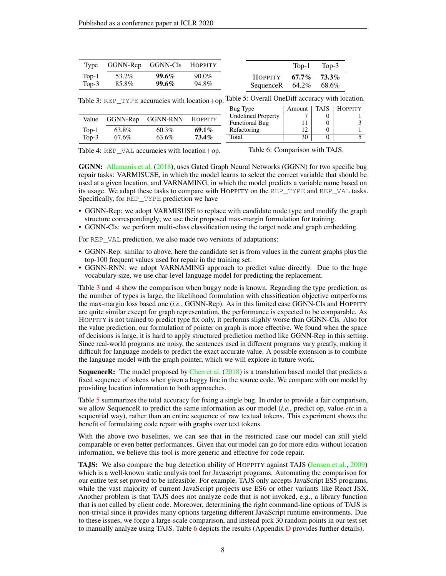<span id="page-7-0"></span>

| Type GGNN-Rep GGNN-Cls HOPPITY |          |          |                              | $Top-1$ Top-3 |
|--------------------------------|----------|----------|------------------------------|---------------|
| Top-1 $53.2\%$                 | $99.6\%$ | $90.0\%$ | $HOPPITY$ 67.7% 73.3%        |               |
| Top-3 $85.8\%$                 | $99.6\%$ | 94.8%    | Sequence R $64.2\%$ $68.6\%$ |               |

Table 3: REP\_TYPE accuracies with location+op. Table 5: Overall OneDiff accuracy with location.

|         |          |          |          | Bug Type                  | Amount       | TAJS. | <b>HOPPITY</b> |
|---------|----------|----------|----------|---------------------------|--------------|-------|----------------|
| Value   | GGNN-Rep | GGNN-RNN | HOPPITY  | <b>Undefined Property</b> |              |       |                |
|         |          |          |          | <b>Functional Bug</b>     |              |       |                |
| $Top-1$ | 63.8%    | 60.3%    | $69.1\%$ | Refactoring               | $12^{\circ}$ |       |                |
| $Top-3$ | 67.6%    | 63.6%    | $73.4\%$ | Total                     | 30           |       |                |

Table 4: REP\_VAL accuracies with location+op.

Table 6: Comparison with TAJS.

GGNN: [Allamanis et al.](#page-9-0) [\(2018\)](#page-9-0), uses Gated Graph Neural Networks (GGNN) for two specific bug repair tasks: VARMISUSE, in which the model learns to select the correct variable that should be used at a given location, and VARNAMING, in which the model predicts a variable name based on its usage. We adapt these tasks to compare with HOPPITY on the REP\_TYPE and REP\_VAL tasks. Specifically, for REP\_TYPE prediction we have

- GGNN-Rep: we adopt VARMISUSE to replace with candidate node type and modify the graph structure correspondingly; we use their proposed max-margin formulation for training.
- GGNN-Cls: we perform multi-class classification using the target node and graph embedding.

For REP\_VAL prediction, we also made two versions of adaptations:

- GGNN-Rep: similar to above, here the candidate set is from values in the current graphs plus the top-100 frequent values used for repair in the training set.
- GGNN-RNN: we adopt VARNAMING approach to predict value directly. Due to the huge vocabulary size, we use char-level language model for predicting the replacement.

Table [3](#page-7-0) and [4](#page-7-0) show the comparison when buggy node is known. Regarding the type prediction, as the number of types is large, the likelihood formulation with classification objective outperforms the max-margin loss based one (*i.e.*, GGNN-Rep). As in this limited case GGNN-Cls and HOPPITY are quite similar except for graph representation, the performance is expected to be comparable. As HOPPITY is not trained to predict type fix only, it performs slighly worse than GGNN-Cls. Also for the value prediction, our formulation of pointer on graph is more effective. We found when the space of decisions is large, it is hard to apply structured prediction method like GGNN-Rep in this setting. Since real-world programs are noisy, the sentences used in different programs vary greatly, making it difficult for language models to predict the exact accurate value. A possible extension is to combine the language model with the graph pointer, which we will explore in future work.

SequenceR: The model proposed by [Chen et al.](#page-9-5) [\(2018\)](#page-9-5) is a translation based model that predicts a fixed sequence of tokens when given a buggy line in the source code. We compare with our model by providing location information to both approaches.

Table [5](#page-7-0) summarizes the total accuracy for fixing a single bug. In order to provide a fair comparison, we allow SequenceR to predict the same information as our model (*i.e.*, predict op, value *etc.*in a sequential way), rather than an entire sequence of raw textual tokens. This experiment shows the benefit of formulating code repair with graphs over text tokens.

With the above two baselines, we can see that in the restricted case our model can still yield comparable or even better performances. Given that our model can go for more edits without location information, we believe this tool is more generic and effective for code repair.

TAJS: We also compare the bug detection ability of HOPPITY against TAJS [\(Jensen et al.,](#page-9-7) [2009\)](#page-9-7) which is a well-known static analysis tool for Javascript programs. Automating the comparison for our entire test set proved to be infeasible. For example, TAJS only accepts JavaScript ES5 programs, while the vast majority of current JavaScript projects use ES6 or other variants like React JSX. Another problem is that TAJS does not analyze code that is not invoked, e.g., a library function that is not called by client code. Moreover, determining the right command-line options of TAJS is non-trivial since it provides many options targeting different JavaScript runtime environments. Due to these issues, we forgo a large-scale comparison, and instead pick 30 random points in our test set to manually analyze using TAJS. Table [6](#page-7-0) depicts the results (Appendix [D](#page-14-1) provides further details).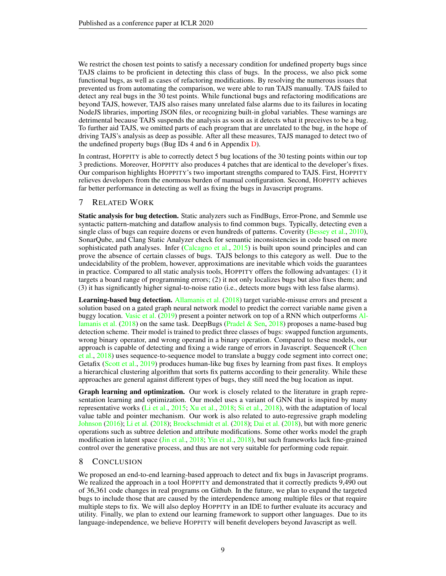We restrict the chosen test points to satisfy a necessary condition for undefined property bugs since TAJS claims to be proficient in detecting this class of bugs. In the process, we also pick some functional bugs, as well as cases of refactoring modifications. By resolving the numerous issues that prevented us from automating the comparison, we were able to run TAJS manually. TAJS failed to detect any real bugs in the 30 test points. While functional bugs and refactoring modifications are beyond TAJS, however, TAJS also raises many unrelated false alarms due to its failures in locating NodeJS libraries, importing JSON files, or recognizing built-in global variables. These warnings are detrimental because TAJS suspends the analysis as soon as it detects what it preceives to be a bug. To further aid TAJS, we omitted parts of each program that are unrelated to the bug, in the hope of driving TAJS's analysis as deep as possible. After all these measures, TAJS managed to detect two of the undefined property bugs (Bug IDs 4 and 6 in Appendix [D\)](#page-14-1).

In contrast, HOPPITY is able to correctly detect 5 bug locations of the 30 testing points within our top 3 predictions. Moreover, HOPPITY also produces 4 patches that are identical to the developer's fixes. Our comparison highlights HOPPITY's two important strengths compared to TAJS. First, HOPPITY relieves developers from the enormous burden of manual configuration. Second, HOPPITY achieves far better performance in detecting as well as fixing the bugs in Javascript programs.

### 7 RELATED WORK

Static analysis for bug detection. Static analyzers such as FindBugs, Error-Prone, and Semmle use syntactic pattern-matching and dataflow analysis to find common bugs. Typically, detecting even a single class of bugs can require dozens or even hundreds of patterns. Coverity [\(Bessey et al.,](#page-9-11) [2010\)](#page-9-11), SonarQube, and Clang Static Analyzer check for semantic inconsistencies in code based on more sophisticated path analyses. Infer [\(Calcagno et al.,](#page-9-12) [2015\)](#page-9-12) is built upon sound principles and can prove the absence of certain classes of bugs. TAJS belongs to this category as well. Due to the undecidability of the problem, however, approximations are inevitable which voids the guarantees in practice. Compared to all static analysis tools, HOPPITY offers the following advantages: (1) it targets a board range of programming errors; (2) it not only localizes bugs but also fixes them; and (3) it has significantly higher signal-to-noise ratio (i.e., detects more bugs with less false alarms).

Learning-based bug detection. [Allamanis et al.](#page-9-0) [\(2018\)](#page-9-0) target variable-misuse errors and present a solution based on a gated graph neural network model to predict the correct variable name given a buggy location. [Vasic et al.](#page-10-2) [\(2019\)](#page-10-2) present a pointer network on top of a RNN which outperforms [Al](#page-9-0)[lamanis et al.](#page-9-0) [\(2018\)](#page-9-0) on the same task. DeepBugs [\(Pradel & Sen,](#page-9-1) [2018\)](#page-9-1) proposes a name-based bug detection scheme. Their model is trained to predict three classes of bugs: swapped function arguments, wrong binary operator, and wrong operand in a binary operation. Compared to these models, our approach is capable of detecting and fixing a wide range of errors in Javascript. SequenceR [\(Chen](#page-9-5) [et al.,](#page-9-5) [2018\)](#page-9-5) uses sequence-to-sequence model to translate a buggy code segment into correct one; Getafix [\(Scott et al.,](#page-10-1) [2019\)](#page-10-1) produces human-like bug fixes by learning from past fixes. It employs a hierarchical clustering algorithm that sorts fix patterns according to their generality. While these approaches are general against different types of bugs, they still need the bug location as input.

Graph learning and optimization. Our work is closely related to the literature in graph representation learning and optimization. Our model uses a variant of GNN that is inspired by many representative works [\(Li et al.,](#page-9-13) [2015;](#page-9-13) [Xu et al.,](#page-10-6) [2018;](#page-10-6) [Si et al.,](#page-10-8) [2018\)](#page-10-8), with the adaptation of local value table and pointer mechanism. Our work is also related to auto-regressive graph modeling [Johnson](#page-9-14) [\(2016\)](#page-9-14); [Li et al.](#page-9-10) [\(2018\)](#page-9-10); [Brockschmidt et al.](#page-9-15) [\(2018\)](#page-9-15); [Dai et al.](#page-9-16) [\(2018\)](#page-9-16), but with more generic operations such as subtree deletion and attribute modifications. Some other works model the graph modification in latent space [\(Jin et al.,](#page-9-17) [2018;](#page-9-17) [Yin et al.,](#page-10-9) [2018\)](#page-10-9), but such frameworks lack fine-grained control over the generative process, and thus are not very suitable for performing code repair.

### 8 CONCLUSION

We proposed an end-to-end learning-based approach to detect and fix bugs in Javascript programs. We realized the approach in a tool HOPPITY and demonstrated that it correctly predicts 9,490 out of 36,361 code changes in real programs on Github. In the future, we plan to expand the targeted bugs to include those that are caused by the interdependence among multiple files or that require multiple steps to fix. We will also deploy HOPPITY in an IDE to further evaluate its accuracy and utility. Finally, we plan to extend our learning framework to support other languages. Due to its language-independence, we believe HOPPITY will benefit developers beyond Javascript as well.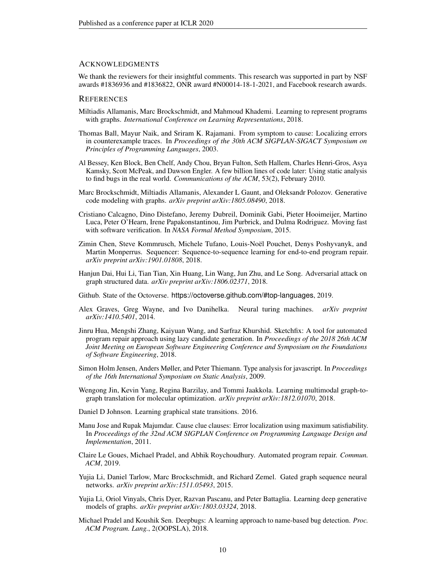#### **ACKNOWLEDGMENTS**

We thank the reviewers for their insightful comments. This research was supported in part by NSF awards #1836936 and #1836822, ONR award #N00014-18-1-2021, and Facebook research awards.

#### **REFERENCES**

- <span id="page-9-0"></span>Miltiadis Allamanis, Marc Brockschmidt, and Mahmoud Khademi. Learning to represent programs with graphs. *International Conference on Learning Representations*, 2018.
- <span id="page-9-8"></span>Thomas Ball, Mayur Naik, and Sriram K. Rajamani. From symptom to cause: Localizing errors in counterexample traces. In *Proceedings of the 30th ACM SIGPLAN-SIGACT Symposium on Principles of Programming Languages*, 2003.
- <span id="page-9-11"></span>Al Bessey, Ken Block, Ben Chelf, Andy Chou, Bryan Fulton, Seth Hallem, Charles Henri-Gros, Asya Kamsky, Scott McPeak, and Dawson Engler. A few billion lines of code later: Using static analysis to find bugs in the real world. *Communications of the ACM*, 53(2), February 2010.
- <span id="page-9-15"></span>Marc Brockschmidt, Miltiadis Allamanis, Alexander L Gaunt, and Oleksandr Polozov. Generative code modeling with graphs. *arXiv preprint arXiv:1805.08490*, 2018.
- <span id="page-9-12"></span>Cristiano Calcagno, Dino Distefano, Jeremy Dubreil, Dominik Gabi, Pieter Hooimeijer, Martino Luca, Peter O'Hearn, Irene Papakonstantinou, Jim Purbrick, and Dulma Rodriguez. Moving fast with software verification. In *NASA Formal Method Symposium*, 2015.
- <span id="page-9-5"></span>Zimin Chen, Steve Kommrusch, Michele Tufano, Louis-Noël Pouchet, Denys Poshyvanyk, and Martin Monperrus. Sequencer: Sequence-to-sequence learning for end-to-end program repair. *arXiv preprint arXiv:1901.01808*, 2018.
- <span id="page-9-16"></span>Hanjun Dai, Hui Li, Tian Tian, Xin Huang, Lin Wang, Jun Zhu, and Le Song. Adversarial attack on graph structured data. *arXiv preprint arXiv:1806.02371*, 2018.
- <span id="page-9-2"></span>Github. State of the Octoverse. https://octoverse.github.com/#top-languages, 2019.
- <span id="page-9-6"></span>Alex Graves, Greg Wayne, and Ivo Danihelka. Neural turing machines. *arXiv preprint arXiv:1410.5401*, 2014.
- <span id="page-9-4"></span>Jinru Hua, Mengshi Zhang, Kaiyuan Wang, and Sarfraz Khurshid. Sketchfix: A tool for automated program repair approach using lazy candidate generation. In *Proceedings of the 2018 26th ACM Joint Meeting on European Software Engineering Conference and Symposium on the Foundations of Software Engineering*, 2018.
- <span id="page-9-7"></span>Simon Holm Jensen, Anders Møller, and Peter Thiemann. Type analysis for javascript. In *Proceedings of the 16th International Symposium on Static Analysis*, 2009.
- <span id="page-9-17"></span>Wengong Jin, Kevin Yang, Regina Barzilay, and Tommi Jaakkola. Learning multimodal graph-tograph translation for molecular optimization. *arXiv preprint arXiv:1812.01070*, 2018.
- <span id="page-9-14"></span>Daniel D Johnson. Learning graphical state transitions. 2016.
- <span id="page-9-9"></span>Manu Jose and Rupak Majumdar. Cause clue clauses: Error localization using maximum satisfiability. In *Proceedings of the 32nd ACM SIGPLAN Conference on Programming Language Design and Implementation*, 2011.
- <span id="page-9-3"></span>Claire Le Goues, Michael Pradel, and Abhik Roychoudhury. Automated program repair. *Commun. ACM*, 2019.
- <span id="page-9-13"></span>Yujia Li, Daniel Tarlow, Marc Brockschmidt, and Richard Zemel. Gated graph sequence neural networks. *arXiv preprint arXiv:1511.05493*, 2015.
- <span id="page-9-10"></span>Yujia Li, Oriol Vinyals, Chris Dyer, Razvan Pascanu, and Peter Battaglia. Learning deep generative models of graphs. *arXiv preprint arXiv:1803.03324*, 2018.
- <span id="page-9-1"></span>Michael Pradel and Koushik Sen. Deepbugs: A learning approach to name-based bug detection. *Proc. ACM Program. Lang.*, 2(OOPSLA), 2018.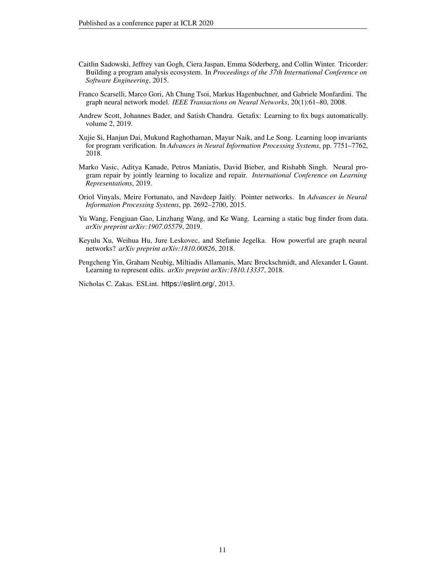- <span id="page-10-0"></span>Caitlin Sadowski, Jeffrey van Gogh, Ciera Jaspan, Emma Söderberg, and Collin Winter. Tricorder: Building a program analysis ecosystem. In *Proceedings of the 37th International Conference on Software Engineering*, 2015.
- <span id="page-10-5"></span>Franco Scarselli, Marco Gori, Ah Chung Tsoi, Markus Hagenbuchner, and Gabriele Monfardini. The graph neural network model. *IEEE Transactions on Neural Networks*, 20(1):61–80, 2008.
- <span id="page-10-1"></span>Andrew Scott, Johannes Bader, and Satish Chandra. Getafix: Learning to fix bugs automatically. volume 2, 2019.
- <span id="page-10-8"></span>Xujie Si, Hanjun Dai, Mukund Raghothaman, Mayur Naik, and Le Song. Learning loop invariants for program verification. In *Advances in Neural Information Processing Systems*, pp. 7751–7762, 2018.
- <span id="page-10-2"></span>Marko Vasic, Aditya Kanade, Petros Maniatis, David Bieber, and Rishabh Singh. Neural program repair by jointly learning to localize and repair. *International Conference on Learning Representations*, 2019.
- <span id="page-10-7"></span>Oriol Vinyals, Meire Fortunato, and Navdeep Jaitly. Pointer networks. In *Advances in Neural Information Processing Systems*, pp. 2692–2700, 2015.
- <span id="page-10-4"></span>Yu Wang, Fengjuan Gao, Linzhang Wang, and Ke Wang. Learning a static bug finder from data. *arXiv preprint arXiv:1907.05579*, 2019.
- <span id="page-10-6"></span>Keyulu Xu, Weihua Hu, Jure Leskovec, and Stefanie Jegelka. How powerful are graph neural networks? *arXiv preprint arXiv:1810.00826*, 2018.
- <span id="page-10-9"></span>Pengcheng Yin, Graham Neubig, Miltiadis Allamanis, Marc Brockschmidt, and Alexander L Gaunt. Learning to represent edits. *arXiv preprint arXiv:1810.13337*, 2018.

<span id="page-10-3"></span>Nicholas C. Zakas. ESLint. https://eslint.org/, 2013.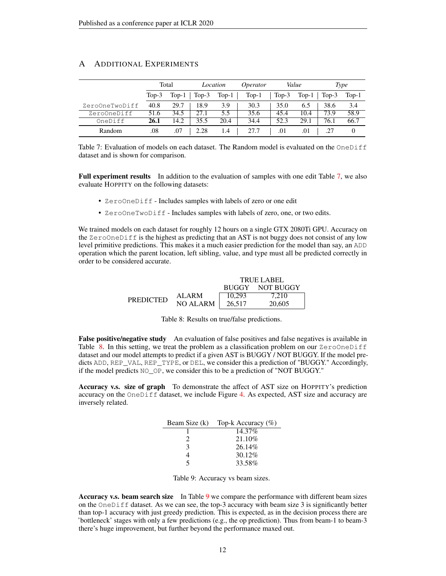<span id="page-11-2"></span>

|                |         | Total   |         | Location | <i>Operator</i> |         | Value   | Type    |         |  |
|----------------|---------|---------|---------|----------|-----------------|---------|---------|---------|---------|--|
|                | $Top-3$ | $Top-1$ | $Top-3$ | $Top-1$  | $Top-1$         | $Top-3$ | $Top-1$ | $Top-3$ | $Top-1$ |  |
| ZeroOneTwoDiff | 40.8    | 29.7    | 18.9    | 3.9      | 30.3            | 35.0    | 6.5     | 38.6    | 3.4     |  |
| ZeroOneDiff    | 51.6    | 34.5    | 27.1    | 5.5      | 35.6            | 45.4    | 10.4    | 73.9    | 58.9    |  |
| OneDiff        | 26.1    | 14.2    | 35.5    | 20.4     | 34.4            | 52.3    | 29.1    | 76.1    | 66.7    |  |
| Random         | .08     | .07     | 2.28    | 1.4      | 27.7            |         | .01     |         |         |  |

### <span id="page-11-1"></span>A ADDITIONAL EXPERIMENTS

Table 7: Evaluation of models on each dataset. The Random model is evaluated on the OneDiff dataset and is shown for comparison.

Full experiment results In addition to the evaluation of samples with one edit Table [7,](#page-11-2) we also evaluate HOPPITY on the following datasets:

- ZeroOneDiff Includes samples with labels of zero or one edit
- ZeroOneTwoDiff Includes samples with labels of zero, one, or two edits.

<span id="page-11-3"></span>We trained models on each dataset for roughly 12 hours on a single GTX 2080Ti GPU. Accuracy on the ZeroOneDiff is the highest as predicting that an AST is not buggy does not consist of any low level primitive predictions. This makes it a much easier prediction for the model than say, an ADD operation which the parent location, left sibling, value, and type must all be predicted correctly in order to be considered accurate.

|                  | <b>TRUE LABEL</b> |              |           |  |  |  |  |  |  |  |
|------------------|-------------------|--------------|-----------|--|--|--|--|--|--|--|
|                  |                   | <b>BUGGY</b> | NOT BUGGY |  |  |  |  |  |  |  |
| <b>PREDICTED</b> | ALARM             | 10.293       | 7.210     |  |  |  |  |  |  |  |
|                  | NO ALARM          | 26.517       | 20,605    |  |  |  |  |  |  |  |

False positive/negative study An evaluation of false positives and false negatives is available in Table [8.](#page-11-3) In this setting, we treat the problem as a classification problem on our  $\text{ZeroOneDiff}$ dataset and our model attempts to predict if a given AST is BUGGY / NOT BUGGY. If the model predicts ADD, REP\_VAL, REP\_TYPE, or DEL, we consider this a prediction of "BUGGY." Accordingly, if the model predicts NO\_OP, we consider this to be a prediction of "NOT BUGGY."

<span id="page-11-4"></span>Accuracy v.s. size of graph To demonstrate the affect of AST size on HOPPITY's prediction accuracy on the OneDiff dataset, we include Figure [4.](#page-12-0) As expected, AST size and accuracy are inversely related.

|   | Beam Size (k) Top-k Accuracy $(\%)$ |
|---|-------------------------------------|
|   | 14.37%                              |
| 2 | 21.10\%                             |
| 3 | 26.14%                              |
|   | 30.12%                              |
| 5 | 33.58%                              |

| Table 9: Accuracy vs beam sizes. |  |  |
|----------------------------------|--|--|
|                                  |  |  |

<span id="page-11-0"></span>Accuracy v.s. beam search size In Table [9](#page-11-4) we compare the performance with different beam sizes on the  $OneDiff$  dataset. As we can see, the top-3 accuracy with beam size 3 is significantly better than top-1 accuracy with just greedy prediction. This is expected, as in the decision process there are 'bottleneck' stages with only a few predictions (e.g., the op prediction). Thus from beam-1 to beam-3 there's huge improvement, but further beyond the performance maxed out.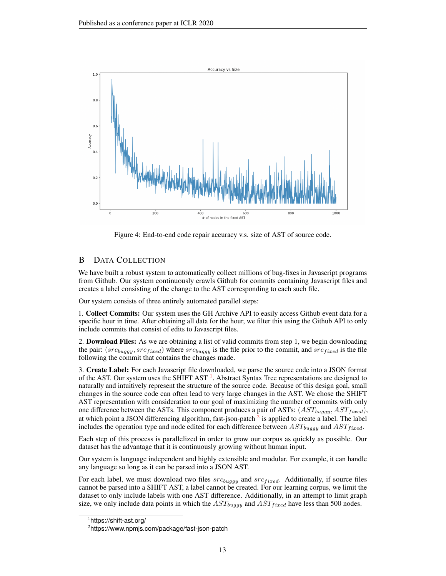<span id="page-12-0"></span>

Figure 4: End-to-end code repair accuracy v.s. size of AST of source code.

### B DATA COLLECTION

We have built a robust system to automatically collect millions of bug-fixes in Javascript programs from Github. Our system continuously crawls Github for commits containing Javascript files and creates a label consisting of the change to the AST corresponding to each such file.

Our system consists of three entirely automated parallel steps:

1. Collect Commits: Our system uses the GH Archive API to easily access Github event data for a specific hour in time. After obtaining all data for the hour, we filter this using the Github API to only include commits that consist of edits to Javascript files.

2. **Download Files:** As we are obtaining a list of valid commits from step 1, we begin downloading the pair:  $(src_{buggy}, src_{fixed})$  where  $src_{buggy}$  is the file prior to the commit, and  $src_{fixed}$  is the file following the commit that contains the changes made.

3. Create Label: For each Javascript file downloaded, we parse the source code into a JSON format of the AST. Our system uses the SHIFT AST<sup>[1](#page-12-1)</sup>. Abstract Syntax Tree representations are designed to naturally and intuitively represent the structure of the source code. Because of this design goal, small changes in the source code can often lead to very large changes in the AST. We chose the SHIFT AST representation with consideration to our goal of maximizing the number of commits with only one difference between the ASTs. This component produces a pair of ASTs:  $(AST_{buggy}, AST_{fixed})$ , at which point a JSON differencing algorithm, fast-json-patch  $^2$  $^2$  is applied to create a label. The label includes the operation type and node edited for each difference between  $AST_{buggy}$  and  $AST_{fixed}$ .

Each step of this process is parallelized in order to grow our corpus as quickly as possible. Our dataset has the advantage that it is continuously growing without human input.

Our system is language independent and highly extensible and modular. For example, it can handle any language so long as it can be parsed into a JSON AST.

For each label, we must download two files  $src_{buggy}$  and  $src_{fixed}$ . Additionally, if source files cannot be parsed into a SHIFT AST, a label cannot be created. For our learning corpus, we limit the dataset to only include labels with one AST difference. Additionally, in an attempt to limit graph size, we only include data points in which the  $AST_{buggy}$  and  $AST_{fixed}$  have less than 500 nodes.

<span id="page-12-1"></span><sup>1</sup> https://shift-ast.org/

<span id="page-12-2"></span><sup>2</sup> https://www.npmjs.com/package/fast-json-patch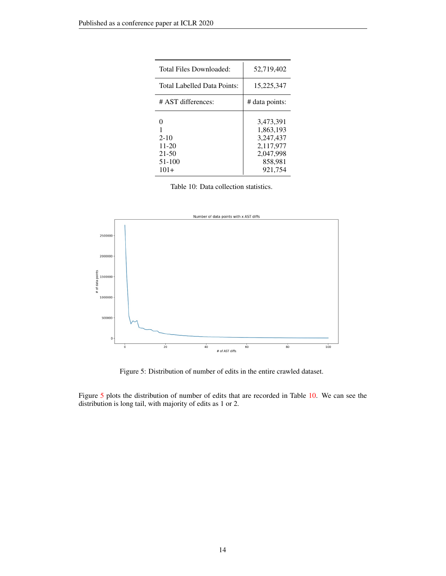<span id="page-13-1"></span>

| Total Files Downloaded:                                   | 52,719,402                                                                          |
|-----------------------------------------------------------|-------------------------------------------------------------------------------------|
| Total Labelled Data Points:                               | 15,225,347                                                                          |
| # AST differences:                                        | # data points:                                                                      |
| ∩<br>$2 - 10$<br>$11-20$<br>$21 - 50$<br>51-100<br>$101+$ | 3,473,391<br>1,863,193<br>3.247.437<br>2,117,977<br>2,047,998<br>858,981<br>921.754 |

Table 10: Data collection statistics.

<span id="page-13-0"></span>

Figure 5: Distribution of number of edits in the entire crawled dataset.

Figure [5](#page-13-0) plots the distribution of number of edits that are recorded in Table [10.](#page-13-1) We can see the distribution is long tail, with majority of edits as 1 or 2.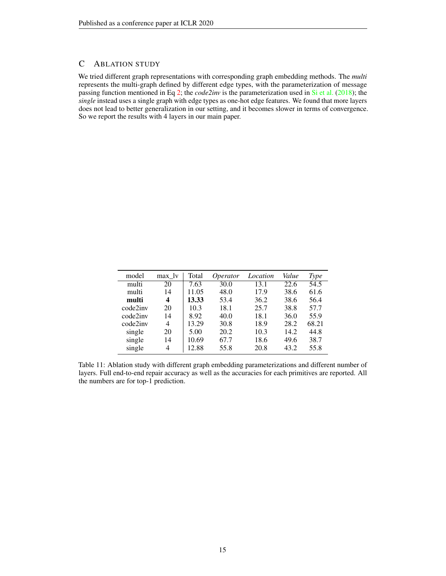### <span id="page-14-0"></span>C ABLATION STUDY

We tried different graph representations with corresponding graph embedding methods. The *multi* represents the multi-graph defined by different edge types, with the parameterization of message passing function mentioned in Eq [2;](#page-3-2) the *code2inv* is the parameterization used in [Si et al.](#page-10-8) [\(2018\)](#page-10-8); the *single* instead uses a single graph with edge types as one-hot edge features. We found that more layers does not lead to better generalization in our setting, and it becomes slower in terms of convergence. So we report the results with 4 layers in our main paper.

| model    | max lv | Total | <i>Operator</i> | Location | Value | Type  |
|----------|--------|-------|-----------------|----------|-------|-------|
| multi    | 20     | 7.63  | 30.0            | 13.1     | 22.6  | 54.5  |
| multi    | 14     | 11.05 | 48.0            | 17.9     | 38.6  | 61.6  |
| multi    | 4      | 13.33 | 53.4            | 36.2     | 38.6  | 56.4  |
| code2inv | 20     | 10.3  | 18.1            | 25.7     | 38.8  | 57.7  |
| code2inv | 14     | 8.92  | 40.0            | 18.1     | 36.0  | 55.9  |
| code2inv | 4      | 13.29 | 30.8            | 18.9     | 28.2  | 68.21 |
| single   | 20     | 5.00  | 20.2            | 10.3     | 14.2  | 44.8  |
| single   | 14     | 10.69 | 67.7            | 18.6     | 49.6  | 38.7  |
| single   | 4      | 12.88 | 55.8            | 20.8     | 43.2  | 55.8  |

<span id="page-14-1"></span>Table 11: Ablation study with different graph embedding parameterizations and different number of layers. Full end-to-end repair accuracy as well as the accuracies for each primitives are reported. All the numbers are for top-1 prediction.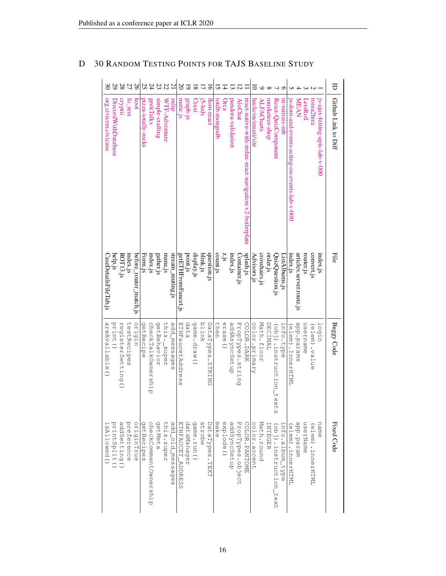|                       | 29                  |                   | 27          | 97                     |                     | 240                   | 23              | $\rm 22$      | $\overline{c}$   | $\infty$             | 5           |             |          | ā                |               |           |                    |                  |                                                         |                     |                   |                |                                 |                 |                                              |                          |           |                   |                                | ₹                   |
|-----------------------|---------------------|-------------------|-------------|------------------------|---------------------|-----------------------|-----------------|---------------|------------------|----------------------|-------------|-------------|----------|------------------|---------------|-----------|--------------------|------------------|---------------------------------------------------------|---------------------|-------------------|----------------|---------------------------------|-----------------|----------------------------------------------|--------------------------|-----------|-------------------|--------------------------------|---------------------|
| org.civicm.civicase   | DiscordWithDatabase | cryptii           | to_rest     | koot                   | pızza-totally-rocks | geekTalks             | simple-crafting | WTF-Adventure | dijinz           | matic.js             | graph-js    | Craxi       | j5-leds  | flom-react       | iotdb-mongodb | Orca      | pandora-validation | <b>AloChat</b>   | react-native-with-redux-react-navigation-v2-boilerplate | hackcincinnati/site | <b>ALFACharts</b> | musketeer-shop | React-QuizComponent             | m-mitrais-mb    | is-dom-and-events-acting-on-events-lab-v-000 | MEAN                     | LetsRoll  | roma2hira         | js-ajax-hitting-apis-lab-v-000 | Github Link to Diff |
| CaseDetailsFileTab.js | help.js             | ROT13.js          | index.js    | before_router_match.js | Form.js             | index.js              | gather.js       | mana.js       | stream_muting.js | getETHFromFaucet.js  | point.js    | display.js  | blink.js | question.js      | count.js      | z, js     | index.js           | Container.js     | splash.js                                               | Advisors.js         | crosshairs.js     | order.js       | QuizQuestion.js                 | ListAlbums.js   | index.js                                     | articles.server.route.js | router.js | convert.js        | index.js                       | Eile                |
| areAvailable()        | print ()            | registerSetting() | testRecipes | utbtao                 | getRecipe           | checkTalkOwnership    | getBehavior     | this._super   | add_messages     | ETHFaucetAddres<br>C | data        | game.draw() | blink    | DataTypes.STRING | then          | erase ()  | addAsyncSetup      | PropTypes.string | COLOR.DARK                                              | color.primary       | Math.floor        | DECIMAL        | (obj).instruction_tex<br>n<br>S | info.type       | JMHHRD . LnnerHHZML                          | sure red . dde           | username  | (elem).value      | login                          | <b>Buggy Code</b>   |
| SAllowed()            | printSplit()        | addSetting()      | preference  | origintrue             | getRecipes          | checkCommentOwnership | getMeta         | this.super    | add_old_messages | FIFINICAL PODRECO    | dataManager | game.run()  | strobe   | DataTypes.TEXT   | make          | explode() | addSyncSetup       | PropTypes.object | <b>COLOR. PANTOME</b>                                   | color.accent        | Math.round        | LNHEGER        | (obj).instruction_text          | info.album_type | elem) : innerHTML                            | urage.param              | userName  | (elem) .innerHTML | name                           | Fixed Code          |

## D 30 RANDOM TESTING POINTS FOR TAJS BASELINE STUDY